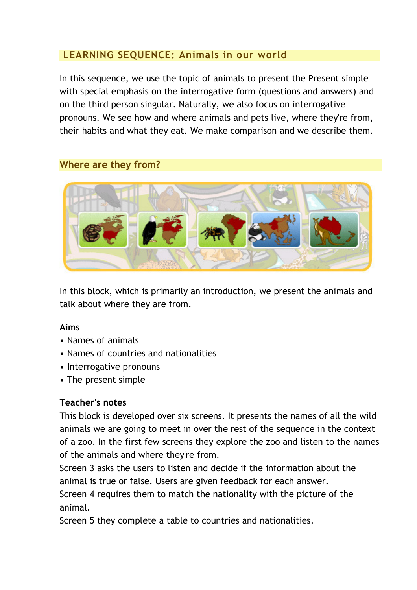# LEARNING SEQUENCE: Animals in our world

In this sequence, we use the topic of animals to present the Present simple with special emphasis on the interrogative form (questions and answers) and on the third person singular. Naturally, we also focus on interrogative pronouns. We see how and where animals and pets live, where they're from, their habits and what they eat. We make comparison and we describe them.

#### Where are they from?



In this block, which is primarily an introduction, we present the animals and talk about where they are from.

#### Aims

- Names of animals
- Names of countries and nationalities
- Interrogative pronouns
- The present simple

# Teacher's notes

This block is developed over six screens. It presents the names of all the wild animals we are going to meet in over the rest of the sequence in the context of a zoo. In the first few screens they explore the zoo and listen to the names of the animals and where they're from.

Screen 3 asks the users to listen and decide if the information about the animal is true or false. Users are given feedback for each answer. Screen 4 requires them to match the nationality with the picture of the

animal.

Screen 5 they complete a table to countries and nationalities.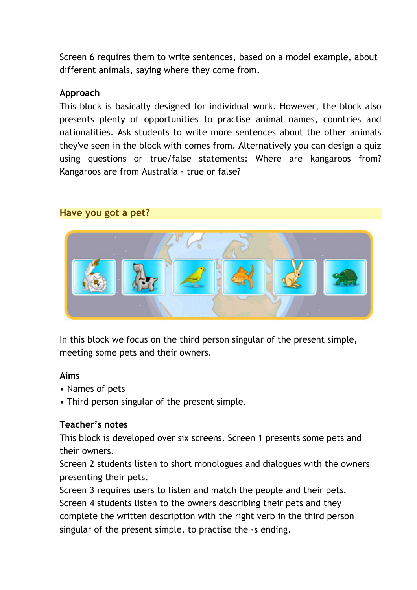Screen 6 requires them to write sentences, based on a model example, about different animals, saying where they come from.

#### Approach

This block is basically designed for individual work. However, the block also presents plenty of opportunities to practise animal names, countries and nationalities. Ask students to write more sentences about the other animals they've seen in the block with comes from. Alternatively you can design a quiz using questions or true/false statements: Where are kangaroos from? Kangaroos are from Australia - true or false?

#### Have you got a pet?



In this block we focus on the third person singular of the present simple, meeting some pets and their owners.

#### Aims

- Names of pets
- Third person singular of the present simple.

#### Teacher's notes

This block is developed over six screens. Screen 1 presents some pets and their owners.

Screen 2 students listen to short monologues and dialogues with the owners presenting their pets.

Screen 3 requires users to listen and match the people and their pets. Screen 4 students listen to the owners describing their pets and they complete the written description with the right verb in the third person singular of the present simple, to practise the -s ending.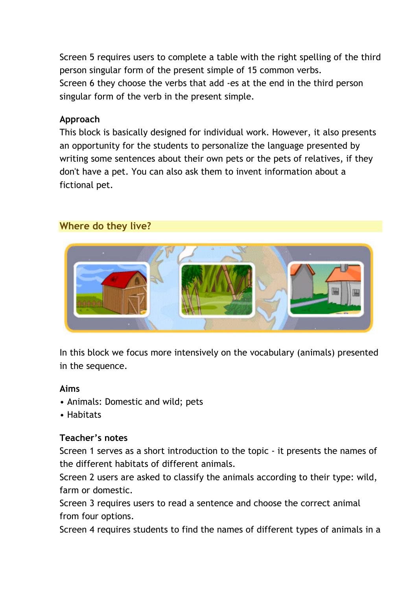Screen 5 requires users to complete a table with the right spelling of the third person singular form of the present simple of 15 common verbs. Screen 6 they choose the verbs that add -es at the end in the third person singular form of the verb in the present simple.

#### Approach

This block is basically designed for individual work. However, it also presents an opportunity for the students to personalize the language presented by writing some sentences about their own pets or the pets of relatives, if they don't have a pet. You can also ask them to invent information about a fictional pet.

# Where do they live?



In this block we focus more intensively on the vocabulary (animals) presented in the sequence.

#### Aims

- Animals: Domestic and wild; pets
- Habitats

# Teacher's notes

Screen 1 serves as a short introduction to the topic - it presents the names of the different habitats of different animals.

Screen 2 users are asked to classify the animals according to their type: wild, farm or domestic.

Screen 3 requires users to read a sentence and choose the correct animal from four options.

Screen 4 requires students to find the names of different types of animals in a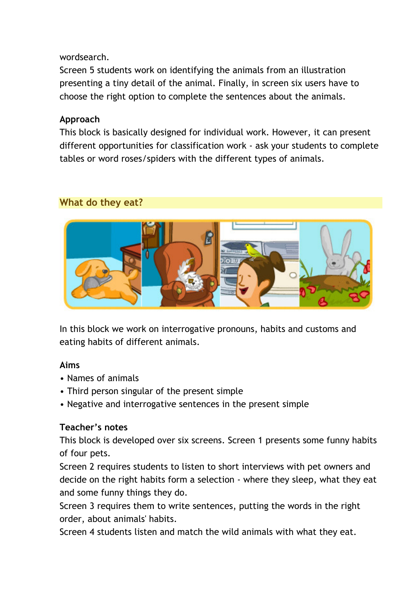# wordsearch.

Screen 5 students work on identifying the animals from an illustration presenting a tiny detail of the animal. Finally, in screen six users have to choose the right option to complete the sentences about the animals.

# Approach

This block is basically designed for individual work. However, it can present different opportunities for classification work - ask your students to complete tables or word roses/spiders with the different types of animals.

# What do they eat?



In this block we work on interrogative pronouns, habits and customs and eating habits of different animals.

# Aims

- Names of animals
- Third person singular of the present simple
- Negative and interrogative sentences in the present simple

# Teacher's notes

This block is developed over six screens. Screen 1 presents some funny habits of four pets.

Screen 2 requires students to listen to short interviews with pet owners and decide on the right habits form a selection - where they sleep, what they eat and some funny things they do.

Screen 3 requires them to write sentences, putting the words in the right order, about animals' habits.

Screen 4 students listen and match the wild animals with what they eat.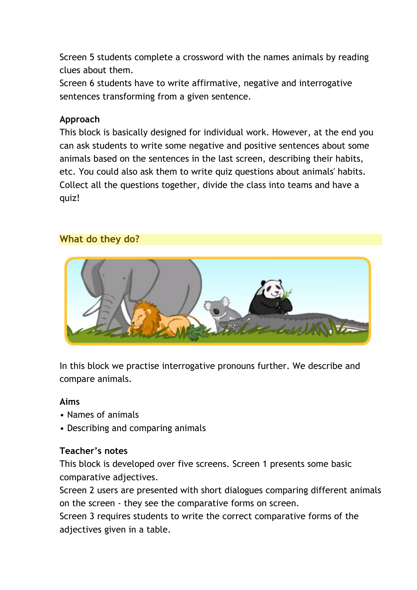Screen 5 students complete a crossword with the names animals by reading clues about them.

Screen 6 students have to write affirmative, negative and interrogative sentences transforming from a given sentence.

# Approach

This block is basically designed for individual work. However, at the end you can ask students to write some negative and positive sentences about some animals based on the sentences in the last screen, describing their habits, etc. You could also ask them to write quiz questions about animals' habits. Collect all the questions together, divide the class into teams and have a quiz!

# What do they do?



In this block we practise interrogative pronouns further. We describe and compare animals.

#### Aims

- Names of animals
- Describing and comparing animals

# Teacher's notes

This block is developed over five screens. Screen 1 presents some basic comparative adjectives.

Screen 2 users are presented with short dialogues comparing different animals on the screen - they see the comparative forms on screen.

Screen 3 requires students to write the correct comparative forms of the adjectives given in a table.